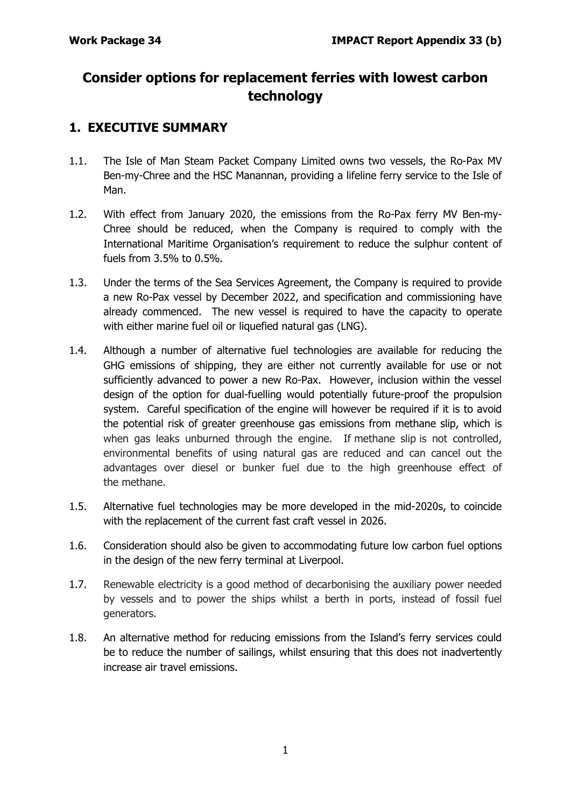# **Consider options for replacement ferries with lowest carbon technology**

# **1. EXECUTIVE SUMMARY**

- 1.1. The Isle of Man Steam Packet Company Limited owns two vessels, the Ro-Pax MV Ben-my-Chree and the HSC Manannan, providing a lifeline ferry service to the Isle of Man.
- 1.2. With effect from January 2020, the emissions from the Ro-Pax ferry MV Ben-my-Chree should be reduced, when the Company is required to comply with the International Maritime Organisation's requirement to reduce the sulphur content of fuels from 3.5% to 0.5%.
- 1.3. Under the terms of the Sea Services Agreement, the Company is required to provide a new Ro-Pax vessel by December 2022, and specification and commissioning have already commenced. The new vessel is required to have the capacity to operate with either marine fuel oil or liquefied natural gas (LNG).
- 1.4. Although a number of alternative fuel technologies are available for reducing the GHG emissions of shipping, they are either not currently available for use or not sufficiently advanced to power a new Ro-Pax. However, inclusion within the vessel design of the option for dual-fuelling would potentially future-proof the propulsion system. Careful specification of the engine will however be required if it is to avoid the potential risk of greater greenhouse gas emissions from methane slip, which is when gas leaks unburned through the engine. If methane slip is not controlled, environmental benefits of using natural gas are reduced and can cancel out the advantages over diesel or bunker fuel due to the high greenhouse effect of the methane.
- 1.5. Alternative fuel technologies may be more developed in the mid-2020s, to coincide with the replacement of the current fast craft vessel in 2026.
- 1.6. Consideration should also be given to accommodating future low carbon fuel options in the design of the new ferry terminal at Liverpool.
- 1.7. Renewable electricity is a good method of decarbonising the auxiliary power needed by vessels and to power the ships whilst a berth in ports, instead of fossil fuel generators.
- 1.8. An alternative method for reducing emissions from the Island's ferry services could be to reduce the number of sailings, whilst ensuring that this does not inadvertently increase air travel emissions.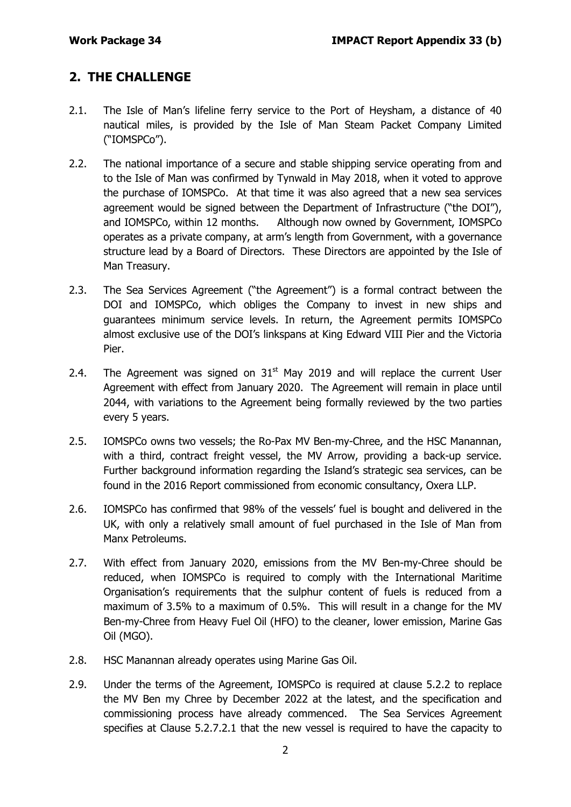# **2. THE CHALLENGE**

- 2.1. The Isle of Man's lifeline ferry service to the Port of Heysham, a distance of 40 nautical miles, is provided by the Isle of Man Steam Packet Company Limited ("IOMSPCo").
- 2.2. The national importance of a secure and stable shipping service operating from and to the Isle of Man was confirmed by Tynwald in May 2018, when it voted to approve the purchase of IOMSPCo. At that time it was also agreed that a new sea services agreement would be signed between the Department of Infrastructure ("the DOI"), and IOMSPCo, within 12 months. Although now owned by Government, IOMSPCo operates as a private company, at arm's length from Government, with a governance structure lead by a Board of Directors. These Directors are appointed by the Isle of Man Treasury.
- 2.3. The Sea Services Agreement ("the Agreement") is a formal contract between the DOI and IOMSPCo, which obliges the Company to invest in new ships and guarantees minimum service levels. In return, the Agreement permits IOMSPCo almost exclusive use of the DOI's linkspans at King Edward VIII Pier and the Victoria Pier.
- 2.4. The Agreement was signed on  $31<sup>st</sup>$  May 2019 and will replace the current User Agreement with effect from January 2020. The Agreement will remain in place until 2044, with variations to the Agreement being formally reviewed by the two parties every 5 years.
- 2.5. IOMSPCo owns two vessels; the Ro-Pax MV Ben-my-Chree, and the HSC Manannan, with a third, contract freight vessel, the MV Arrow, providing a back-up service. Further background information regarding the Island's strategic sea services, can be found in the 2016 Report commissioned from economic consultancy, Oxera LLP.
- 2.6. IOMSPCo has confirmed that 98% of the vessels' fuel is bought and delivered in the UK, with only a relatively small amount of fuel purchased in the Isle of Man from Manx Petroleums.
- 2.7. With effect from January 2020, emissions from the MV Ben-my-Chree should be reduced, when IOMSPCo is required to comply with the International Maritime Organisation's requirements that the sulphur content of fuels is reduced from a maximum of 3.5% to a maximum of 0.5%. This will result in a change for the MV Ben-my-Chree from Heavy Fuel Oil (HFO) to the cleaner, lower emission, Marine Gas Oil (MGO).
- 2.8. HSC Manannan already operates using Marine Gas Oil.
- 2.9. Under the terms of the Agreement, IOMSPCo is required at clause 5.2.2 to replace the MV Ben my Chree by December 2022 at the latest, and the specification and commissioning process have already commenced. The Sea Services Agreement specifies at Clause 5.2.7.2.1 that the new vessel is required to have the capacity to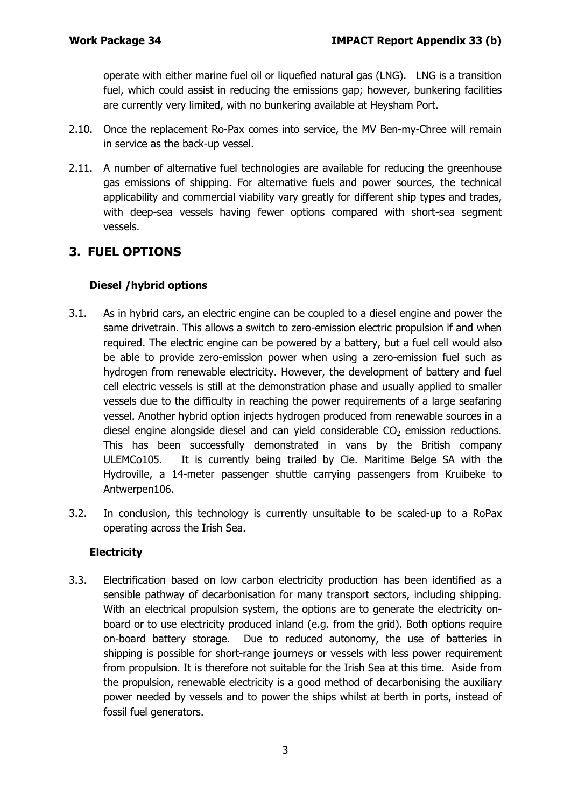operate with either marine fuel oil or liquefied natural gas (LNG). LNG is a transition fuel, which could assist in reducing the emissions gap; however, bunkering facilities are currently very limited, with no bunkering available at Heysham Port.

- 2.10. Once the replacement Ro-Pax comes into service, the MV Ben-my-Chree will remain in service as the back-up vessel.
- 2.11. A number of alternative fuel technologies are available for reducing the greenhouse gas emissions of shipping. For alternative fuels and power sources, the technical applicability and commercial viability vary greatly for different ship types and trades, with deep-sea vessels having fewer options compared with short-sea segment vessels.

# **3. FUEL OPTIONS**

## **Diesel /hybrid options**

- 3.1. As in hybrid cars, an electric engine can be coupled to a diesel engine and power the same drivetrain. This allows a switch to zero-emission electric propulsion if and when required. The electric engine can be powered by a battery, but a fuel cell would also be able to provide zero-emission power when using a zero-emission fuel such as hydrogen from renewable electricity. However, the development of battery and fuel cell electric vessels is still at the demonstration phase and usually applied to smaller vessels due to the difficulty in reaching the power requirements of a large seafaring vessel. Another hybrid option injects hydrogen produced from renewable sources in a diesel engine alongside diesel and can yield considerable  $CO<sub>2</sub>$  emission reductions. This has been successfully demonstrated in vans by the British company ULEMCo105. It is currently being trailed by Cie. Maritime Belge SA with the Hydroville, a 14-meter passenger shuttle carrying passengers from Kruibeke to Antwerpen106.
- 3.2. In conclusion, this technology is currently unsuitable to be scaled-up to a RoPax operating across the Irish Sea.

## **Electricity**

3.3. Electrification based on low carbon electricity production has been identified as a sensible pathway of decarbonisation for many transport sectors, including shipping. With an electrical propulsion system, the options are to generate the electricity onboard or to use electricity produced inland (e.g. from the grid). Both options require on-board battery storage. Due to reduced autonomy, the use of batteries in shipping is possible for short-range journeys or vessels with less power requirement from propulsion. It is therefore not suitable for the Irish Sea at this time. Aside from the propulsion, renewable electricity is a good method of decarbonising the auxiliary power needed by vessels and to power the ships whilst at berth in ports, instead of fossil fuel generators.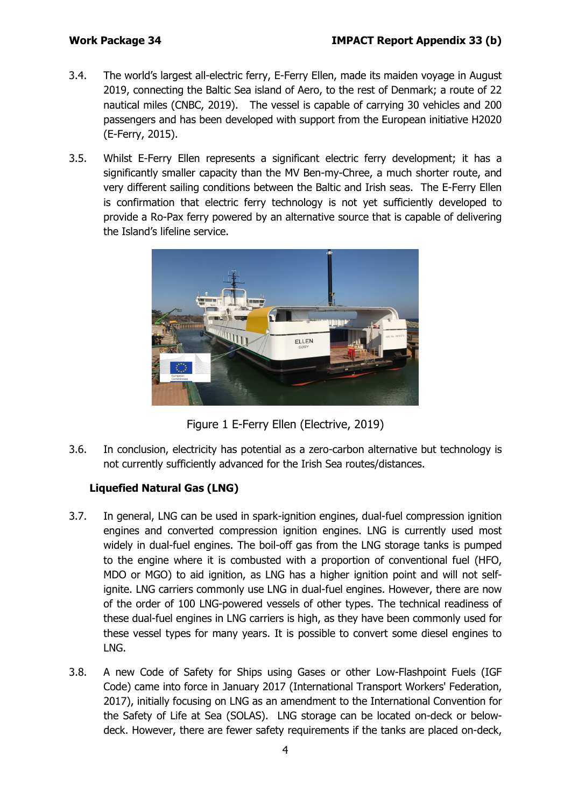- 3.4. The world's largest all-electric ferry, E-Ferry Ellen, made its maiden voyage in August 2019, connecting the Baltic Sea island of Aero, to the rest of Denmark; a route of 22 nautical miles (CNBC, 2019). The vessel is capable of carrying 30 vehicles and 200 passengers and has been developed with support from the European initiative H2020 (E-Ferry, 2015).
- 3.5. Whilst E-Ferry Ellen represents a significant electric ferry development; it has a significantly smaller capacity than the MV Ben-my-Chree, a much shorter route, and very different sailing conditions between the Baltic and Irish seas. The E-Ferry Ellen is confirmation that electric ferry technology is not yet sufficiently developed to provide a Ro-Pax ferry powered by an alternative source that is capable of delivering the Island's lifeline service.



Figure 1 E-Ferry Ellen (Electrive, 2019)

3.6. In conclusion, electricity has potential as a zero-carbon alternative but technology is not currently sufficiently advanced for the Irish Sea routes/distances.

# **Liquefied Natural Gas (LNG)**

- 3.7. In general, LNG can be used in spark-ignition engines, dual-fuel compression ignition engines and converted compression ignition engines. LNG is currently used most widely in dual-fuel engines. The boil-off gas from the LNG storage tanks is pumped to the engine where it is combusted with a proportion of conventional fuel (HFO, MDO or MGO) to aid ignition, as LNG has a higher ignition point and will not selfignite. LNG carriers commonly use LNG in dual-fuel engines. However, there are now of the order of 100 LNG-powered vessels of other types. The technical readiness of these dual-fuel engines in LNG carriers is high, as they have been commonly used for these vessel types for many years. It is possible to convert some diesel engines to LNG.
- 3.8. A new Code of Safety for Ships using Gases or other Low-Flashpoint Fuels (IGF Code) came into force in January 2017 (International Transport Workers' Federation, 2017), initially focusing on LNG as an amendment to the International Convention for the Safety of Life at Sea (SOLAS). LNG storage can be located on-deck or belowdeck. However, there are fewer safety requirements if the tanks are placed on-deck,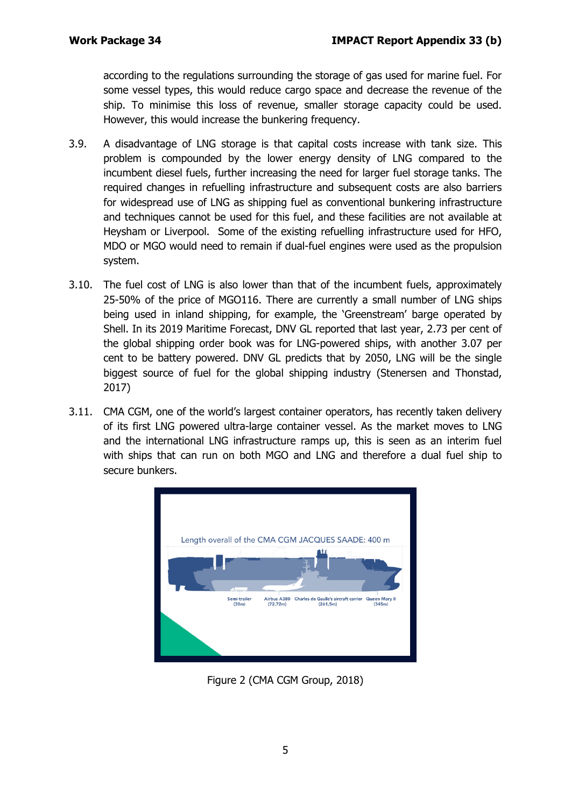according to the regulations surrounding the storage of gas used for marine fuel. For some vessel types, this would reduce cargo space and decrease the revenue of the ship. To minimise this loss of revenue, smaller storage capacity could be used. However, this would increase the bunkering frequency.

- 3.9. A disadvantage of LNG storage is that capital costs increase with tank size. This problem is compounded by the lower energy density of LNG compared to the incumbent diesel fuels, further increasing the need for larger fuel storage tanks. The required changes in refuelling infrastructure and subsequent costs are also barriers for widespread use of LNG as shipping fuel as conventional bunkering infrastructure and techniques cannot be used for this fuel, and these facilities are not available at Heysham or Liverpool. Some of the existing refuelling infrastructure used for HFO, MDO or MGO would need to remain if dual-fuel engines were used as the propulsion system.
- 3.10. The fuel cost of LNG is also lower than that of the incumbent fuels, approximately 25-50% of the price of MGO116. There are currently a small number of LNG ships being used in inland shipping, for example, the 'Greenstream' barge operated by Shell. In its 2019 Maritime Forecast, DNV GL reported that last year, 2.73 per cent of the global shipping order book was for LNG-powered ships, with another 3.07 per cent to be battery powered. DNV GL predicts that by 2050, LNG will be the single biggest source of fuel for the global shipping industry (Stenersen and Thonstad, 2017)
- 3.11. CMA CGM, one of the world's largest container operators, has recently taken delivery of its first LNG powered ultra-large container vessel. As the market moves to LNG and the international LNG infrastructure ramps up, this is seen as an interim fuel with ships that can run on both MGO and LNG and therefore a dual fuel ship to secure bunkers.



Figure 2 (CMA CGM Group, 2018)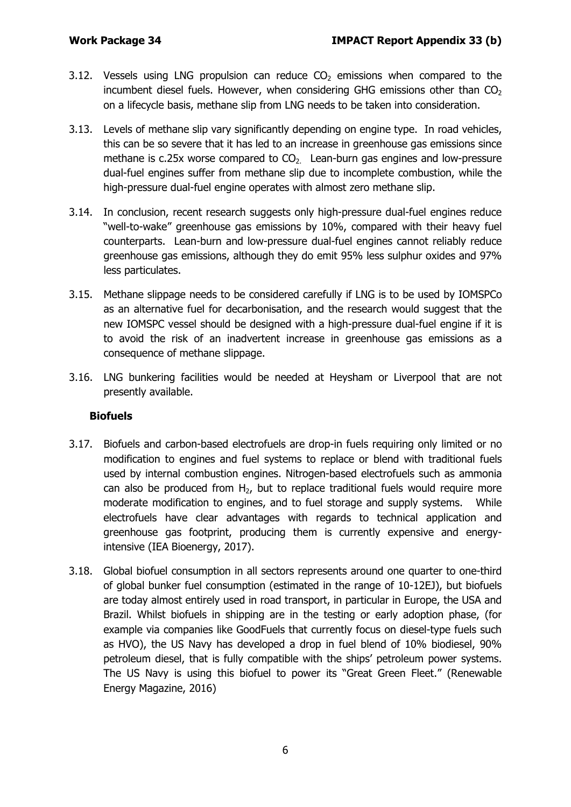- 3.12. Vessels using LNG propulsion can reduce  $CO<sub>2</sub>$  emissions when compared to the incumbent diesel fuels. However, when considering GHG emissions other than  $CO<sub>2</sub>$ on a lifecycle basis, methane slip from LNG needs to be taken into consideration.
- 3.13. Levels of methane slip vary significantly depending on engine type. In road vehicles, this can be so severe that it has led to an increase in greenhouse gas emissions since methane is c.25x worse compared to  $CO<sub>2</sub>$  Lean-burn gas engines and low-pressure dual-fuel engines suffer from methane slip due to incomplete combustion, while the high-pressure dual-fuel engine operates with almost zero methane slip.
- 3.14. In conclusion, recent research suggests only high-pressure dual-fuel engines reduce "well-to-wake" greenhouse gas emissions by 10%, compared with their heavy fuel counterparts. Lean-burn and low-pressure dual-fuel engines cannot reliably reduce greenhouse gas emissions, although they do emit 95% less sulphur oxides and 97% less particulates.
- 3.15. Methane slippage needs to be considered carefully if LNG is to be used by IOMSPCo as an alternative fuel for decarbonisation, and the research would suggest that the new IOMSPC vessel should be designed with a high-pressure dual-fuel engine if it is to avoid the risk of an inadvertent increase in greenhouse gas emissions as a consequence of methane slippage.
- 3.16. LNG bunkering facilities would be needed at Heysham or Liverpool that are not presently available.

## **Biofuels**

- 3.17. Biofuels and carbon-based electrofuels are drop-in fuels requiring only limited or no modification to engines and fuel systems to replace or blend with traditional fuels used by internal combustion engines. Nitrogen-based electrofuels such as ammonia can also be produced from H<sub>2</sub>, but to replace traditional fuels would require more moderate modification to engines, and to fuel storage and supply systems. While electrofuels have clear advantages with regards to technical application and greenhouse gas footprint, producing them is currently expensive and energyintensive (IEA Bioenergy, 2017).
- 3.18. Global biofuel consumption in all sectors represents around one quarter to one-third of global bunker fuel consumption (estimated in the range of 10-12EJ), but biofuels are today almost entirely used in road transport, in particular in Europe, the USA and Brazil. Whilst biofuels in shipping are in the testing or early adoption phase, (for example via companies like GoodFuels that currently focus on diesel-type fuels such as HVO), the US Navy has developed a drop in fuel blend of 10% biodiesel, 90% petroleum diesel, that is fully compatible with the ships' petroleum power systems. The US Navy is using this biofuel to power its "Great Green Fleet." (Renewable Energy Magazine, 2016)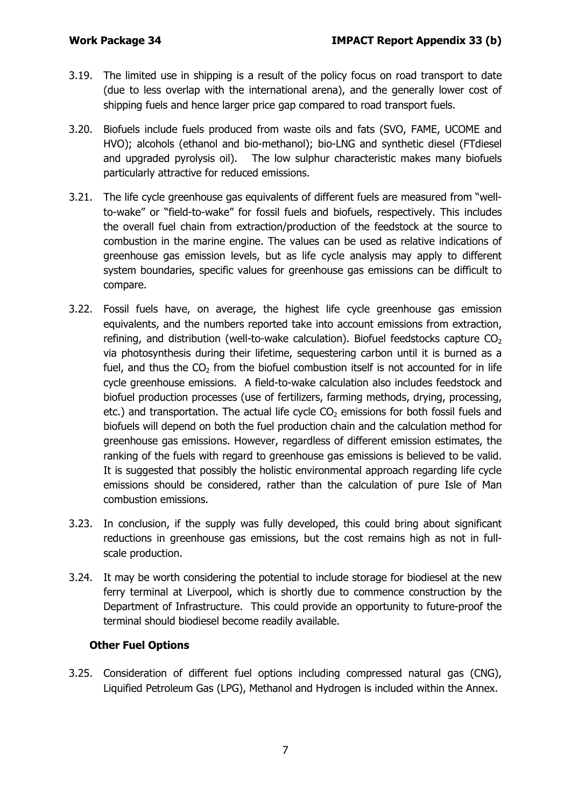- 3.19. The limited use in shipping is a result of the policy focus on road transport to date (due to less overlap with the international arena), and the generally lower cost of shipping fuels and hence larger price gap compared to road transport fuels.
- 3.20. Biofuels include fuels produced from waste oils and fats (SVO, FAME, UCOME and HVO); alcohols (ethanol and bio-methanol); bio-LNG and synthetic diesel (FTdiesel and upgraded pyrolysis oil). The low sulphur characteristic makes many biofuels particularly attractive for reduced emissions.
- 3.21. The life cycle greenhouse gas equivalents of different fuels are measured from "wellto-wake" or "field-to-wake" for fossil fuels and biofuels, respectively. This includes the overall fuel chain from extraction/production of the feedstock at the source to combustion in the marine engine. The values can be used as relative indications of greenhouse gas emission levels, but as life cycle analysis may apply to different system boundaries, specific values for greenhouse gas emissions can be difficult to compare.
- 3.22. Fossil fuels have, on average, the highest life cycle greenhouse gas emission equivalents, and the numbers reported take into account emissions from extraction, refining, and distribution (well-to-wake calculation). Biofuel feedstocks capture  $CO<sub>2</sub>$ via photosynthesis during their lifetime, sequestering carbon until it is burned as a fuel, and thus the  $CO<sub>2</sub>$  from the biofuel combustion itself is not accounted for in life cycle greenhouse emissions. A field-to-wake calculation also includes feedstock and biofuel production processes (use of fertilizers, farming methods, drying, processing, etc.) and transportation. The actual life cycle  $CO<sub>2</sub>$  emissions for both fossil fuels and biofuels will depend on both the fuel production chain and the calculation method for greenhouse gas emissions. However, regardless of different emission estimates, the ranking of the fuels with regard to greenhouse gas emissions is believed to be valid. It is suggested that possibly the holistic environmental approach regarding life cycle emissions should be considered, rather than the calculation of pure Isle of Man combustion emissions.
- 3.23. In conclusion, if the supply was fully developed, this could bring about significant reductions in greenhouse gas emissions, but the cost remains high as not in fullscale production.
- 3.24. It may be worth considering the potential to include storage for biodiesel at the new ferry terminal at Liverpool, which is shortly due to commence construction by the Department of Infrastructure. This could provide an opportunity to future-proof the terminal should biodiesel become readily available.

## **Other Fuel Options**

3.25. Consideration of different fuel options including compressed natural gas (CNG), Liquified Petroleum Gas (LPG), Methanol and Hydrogen is included within the Annex.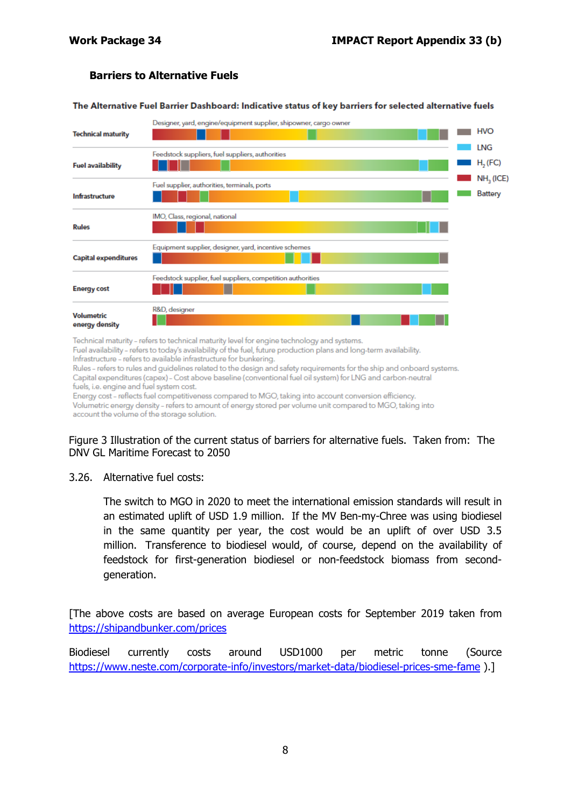#### **Barriers to Alternative Fuels**

The Alternative Fuel Barrier Dashboard: Indicative status of key barriers for selected alternative fuels



Technical maturity - refers to technical maturity level for engine technology and systems.

Fuel availability - refers to today's availability of the fuel, future production plans and long-term availability. Infrastructure - refers to available infrastructure for bunkering.

Rules - refers to rules and guidelines related to the design and safety requirements for the ship and onboard systems. Capital expenditures (capex) - Cost above baseline (conventional fuel oil system) for LNG and carbon-neutral fuels, i.e. engine and fuel system cost.

Energy cost - reflects fuel competitiveness compared to MGO, taking into account conversion efficiency. Volumetric energy density - refers to amount of energy stored per volume unit compared to MGO, taking into account the volume of the storage solution.

#### Figure 3 Illustration of the current status of barriers for alternative fuels. Taken from: The DNV GL Maritime Forecast to 2050

3.26. Alternative fuel costs:

The switch to MGO in 2020 to meet the international emission standards will result in an estimated uplift of USD 1.9 million. If the MV Ben-my-Chree was using biodiesel in the same quantity per year, the cost would be an uplift of over USD 3.5 million. Transference to biodiesel would, of course, depend on the availability of feedstock for first-generation biodiesel or non-feedstock biomass from secondgeneration.

[The above costs are based on average European costs for September 2019 taken from <https://shipandbunker.com/prices>

Biodiesel currently costs around USD1000 per metric tonne (Source <https://www.neste.com/corporate-info/investors/market-data/biodiesel-prices-sme-fame> ).]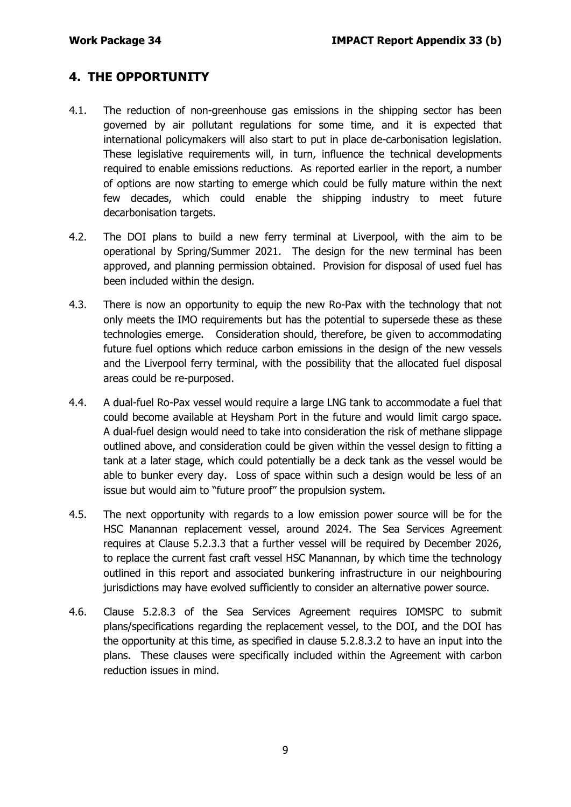# **4. THE OPPORTUNITY**

- 4.1. The reduction of non-greenhouse gas emissions in the shipping sector has been governed by air pollutant regulations for some time, and it is expected that international policymakers will also start to put in place de-carbonisation legislation. These legislative requirements will, in turn, influence the technical developments required to enable emissions reductions. As reported earlier in the report, a number of options are now starting to emerge which could be fully mature within the next few decades, which could enable the shipping industry to meet future decarbonisation targets.
- 4.2. The DOI plans to build a new ferry terminal at Liverpool, with the aim to be operational by Spring/Summer 2021. The design for the new terminal has been approved, and planning permission obtained. Provision for disposal of used fuel has been included within the design.
- 4.3. There is now an opportunity to equip the new Ro-Pax with the technology that not only meets the IMO requirements but has the potential to supersede these as these technologies emerge. Consideration should, therefore, be given to accommodating future fuel options which reduce carbon emissions in the design of the new vessels and the Liverpool ferry terminal, with the possibility that the allocated fuel disposal areas could be re-purposed.
- 4.4. A dual-fuel Ro-Pax vessel would require a large LNG tank to accommodate a fuel that could become available at Heysham Port in the future and would limit cargo space. A dual-fuel design would need to take into consideration the risk of methane slippage outlined above, and consideration could be given within the vessel design to fitting a tank at a later stage, which could potentially be a deck tank as the vessel would be able to bunker every day. Loss of space within such a design would be less of an issue but would aim to "future proof" the propulsion system.
- 4.5. The next opportunity with regards to a low emission power source will be for the HSC Manannan replacement vessel, around 2024. The Sea Services Agreement requires at Clause 5.2.3.3 that a further vessel will be required by December 2026, to replace the current fast craft vessel HSC Manannan, by which time the technology outlined in this report and associated bunkering infrastructure in our neighbouring jurisdictions may have evolved sufficiently to consider an alternative power source.
- 4.6. Clause 5.2.8.3 of the Sea Services Agreement requires IOMSPC to submit plans/specifications regarding the replacement vessel, to the DOI, and the DOI has the opportunity at this time, as specified in clause 5.2.8.3.2 to have an input into the plans. These clauses were specifically included within the Agreement with carbon reduction issues in mind.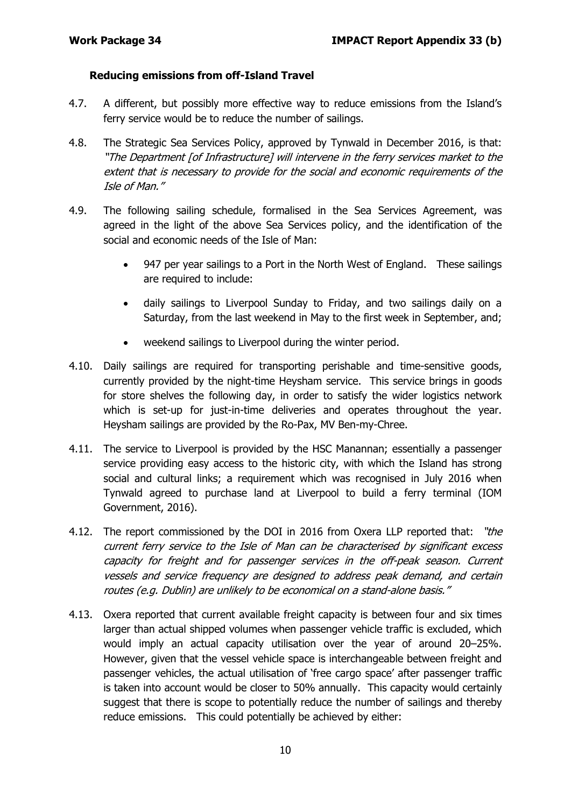#### **Reducing emissions from off-Island Travel**

- 4.7. A different, but possibly more effective way to reduce emissions from the Island's ferry service would be to reduce the number of sailings.
- 4.8. The Strategic Sea Services Policy, approved by Tynwald in December 2016, is that: "The Department [of Infrastructure] will intervene in the ferry services market to the extent that is necessary to provide for the social and economic requirements of the Isle of Man."
- 4.9. The following sailing schedule, formalised in the Sea Services Agreement, was agreed in the light of the above Sea Services policy, and the identification of the social and economic needs of the Isle of Man:
	- 947 per year sailings to a Port in the North West of England. These sailings are required to include:
	- daily sailings to Liverpool Sunday to Friday, and two sailings daily on a Saturday, from the last weekend in May to the first week in September, and;
	- weekend sailings to Liverpool during the winter period.
- 4.10. Daily sailings are required for transporting perishable and time-sensitive goods, currently provided by the night-time Heysham service. This service brings in goods for store shelves the following day, in order to satisfy the wider logistics network which is set-up for just-in-time deliveries and operates throughout the year. Heysham sailings are provided by the Ro-Pax, MV Ben-my-Chree.
- 4.11. The service to Liverpool is provided by the HSC Manannan; essentially a passenger service providing easy access to the historic city, with which the Island has strong social and cultural links; a requirement which was recognised in July 2016 when Tynwald agreed to purchase land at Liverpool to build a ferry terminal (IOM Government, 2016).
- 4.12. The report commissioned by the DOI in 2016 from Oxera LLP reported that: "the current ferry service to the Isle of Man can be characterised by significant excess capacity for freight and for passenger services in the off-peak season. Current vessels and service frequency are designed to address peak demand, and certain routes (e.g. Dublin) are unlikely to be economical on a stand-alone basis."
- 4.13. Oxera reported that current available freight capacity is between four and six times larger than actual shipped volumes when passenger vehicle traffic is excluded, which would imply an actual capacity utilisation over the year of around 20–25%. However, given that the vessel vehicle space is interchangeable between freight and passenger vehicles, the actual utilisation of 'free cargo space' after passenger traffic is taken into account would be closer to 50% annually. This capacity would certainly suggest that there is scope to potentially reduce the number of sailings and thereby reduce emissions. This could potentially be achieved by either: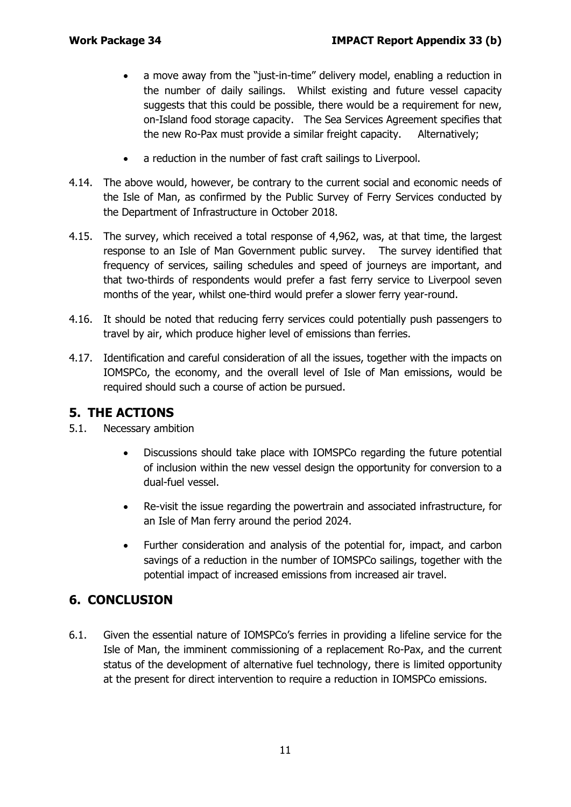- a move away from the "just-in-time" delivery model, enabling a reduction in the number of daily sailings. Whilst existing and future vessel capacity suggests that this could be possible, there would be a requirement for new, on-Island food storage capacity. The Sea Services Agreement specifies that the new Ro-Pax must provide a similar freight capacity. Alternatively;
- a reduction in the number of fast craft sailings to Liverpool.
- 4.14. The above would, however, be contrary to the current social and economic needs of the Isle of Man, as confirmed by the Public Survey of Ferry Services conducted by the Department of Infrastructure in October 2018.
- 4.15. The survey, which received a total response of 4,962, was, at that time, the largest response to an Isle of Man Government public survey. The survey identified that frequency of services, sailing schedules and speed of journeys are important, and that two-thirds of respondents would prefer a fast ferry service to Liverpool seven months of the year, whilst one-third would prefer a slower ferry year-round.
- 4.16. It should be noted that reducing ferry services could potentially push passengers to travel by air, which produce higher level of emissions than ferries.
- 4.17. Identification and careful consideration of all the issues, together with the impacts on IOMSPCo, the economy, and the overall level of Isle of Man emissions, would be required should such a course of action be pursued.

# **5. THE ACTIONS**

- 5.1. Necessary ambition
	- Discussions should take place with IOMSPCo regarding the future potential of inclusion within the new vessel design the opportunity for conversion to a dual-fuel vessel.
	- Re-visit the issue regarding the powertrain and associated infrastructure, for an Isle of Man ferry around the period 2024.
	- Further consideration and analysis of the potential for, impact, and carbon savings of a reduction in the number of IOMSPCo sailings, together with the potential impact of increased emissions from increased air travel.

# **6. CONCLUSION**

6.1. Given the essential nature of IOMSPCo's ferries in providing a lifeline service for the Isle of Man, the imminent commissioning of a replacement Ro-Pax, and the current status of the development of alternative fuel technology, there is limited opportunity at the present for direct intervention to require a reduction in IOMSPCo emissions.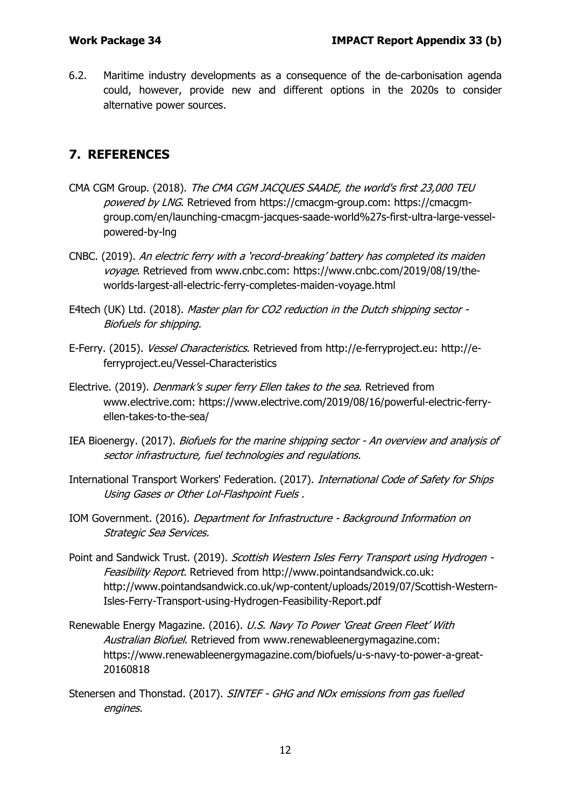6.2. Maritime industry developments as a consequence of the de-carbonisation agenda could, however, provide new and different options in the 2020s to consider alternative power sources.

# **7. REFERENCES**

- CMA CGM Group. (2018). The CMA CGM JACQUES SAADE, the world's first 23,000 TEU powered by LNG. Retrieved from https://cmacgm-group.com: https://cmacgmgroup.com/en/launching-cmacgm-jacques-saade-world%27s-first-ultra-large-vesselpowered-by-lng
- CNBC. (2019). An electric ferry with a 'record-breaking' battery has completed its maiden voyage. Retrieved from www.cnbc.com: https://www.cnbc.com/2019/08/19/theworlds-largest-all-electric-ferry-completes-maiden-voyage.html
- E4tech (UK) Ltd. (2018). Master plan for CO2 reduction in the Dutch shipping sector -Biofuels for shipping.
- E-Ferry. (2015). Vessel Characteristics. Retrieved from http://e-ferryproject.eu: http://eferryproject.eu/Vessel-Characteristics
- Electrive. (2019). Denmark's super ferry Ellen takes to the sea. Retrieved from www.electrive.com: https://www.electrive.com/2019/08/16/powerful-electric-ferryellen-takes-to-the-sea/
- IEA Bioenergy. (2017). Biofuels for the marine shipping sector An overview and analysis of sector infrastructure, fuel technologies and regulations.
- International Transport Workers' Federation. (2017). International Code of Safety for Ships Using Gases or Other Lol-Flashpoint Fuels .
- IOM Government. (2016). Department for Infrastructure Background Information on Strategic Sea Services.
- Point and Sandwick Trust. (2019). Scottish Western Isles Ferry Transport using Hydrogen -Feasibility Report. Retrieved from http://www.pointandsandwick.co.uk: http://www.pointandsandwick.co.uk/wp-content/uploads/2019/07/Scottish-Western-Isles-Ferry-Transport-using-Hydrogen-Feasibility-Report.pdf
- Renewable Energy Magazine. (2016). U.S. Navy To Power 'Great Green Fleet' With Australian Biofuel. Retrieved from www.renewableenergymagazine.com: https://www.renewableenergymagazine.com/biofuels/u-s-navy-to-power-a-great-20160818
- Stenersen and Thonstad. (2017). SINTEF GHG and NOx emissions from gas fuelled engines.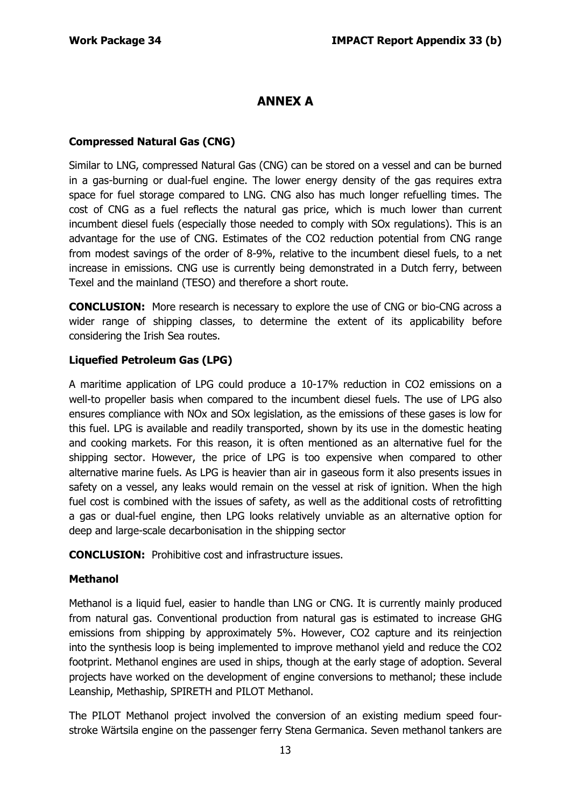# **ANNEX A**

#### **Compressed Natural Gas (CNG)**

Similar to LNG, compressed Natural Gas (CNG) can be stored on a vessel and can be burned in a gas-burning or dual-fuel engine. The lower energy density of the gas requires extra space for fuel storage compared to LNG. CNG also has much longer refuelling times. The cost of CNG as a fuel reflects the natural gas price, which is much lower than current incumbent diesel fuels (especially those needed to comply with SOx regulations). This is an advantage for the use of CNG. Estimates of the CO2 reduction potential from CNG range from modest savings of the order of 8-9%, relative to the incumbent diesel fuels, to a net increase in emissions. CNG use is currently being demonstrated in a Dutch ferry, between Texel and the mainland (TESO) and therefore a short route.

**CONCLUSION:** More research is necessary to explore the use of CNG or bio-CNG across a wider range of shipping classes, to determine the extent of its applicability before considering the Irish Sea routes.

#### **Liquefied Petroleum Gas (LPG)**

A maritime application of LPG could produce a 10-17% reduction in CO2 emissions on a well-to propeller basis when compared to the incumbent diesel fuels. The use of LPG also ensures compliance with NOx and SOx legislation, as the emissions of these gases is low for this fuel. LPG is available and readily transported, shown by its use in the domestic heating and cooking markets. For this reason, it is often mentioned as an alternative fuel for the shipping sector. However, the price of LPG is too expensive when compared to other alternative marine fuels. As LPG is heavier than air in gaseous form it also presents issues in safety on a vessel, any leaks would remain on the vessel at risk of ignition. When the high fuel cost is combined with the issues of safety, as well as the additional costs of retrofitting a gas or dual-fuel engine, then LPG looks relatively unviable as an alternative option for deep and large-scale decarbonisation in the shipping sector

**CONCLUSION:** Prohibitive cost and infrastructure issues.

#### **Methanol**

Methanol is a liquid fuel, easier to handle than LNG or CNG. It is currently mainly produced from natural gas. Conventional production from natural gas is estimated to increase GHG emissions from shipping by approximately 5%. However, CO2 capture and its reinjection into the synthesis loop is being implemented to improve methanol yield and reduce the CO2 footprint. Methanol engines are used in ships, though at the early stage of adoption. Several projects have worked on the development of engine conversions to methanol; these include Leanship, Methaship, SPIRETH and PILOT Methanol.

The PILOT Methanol project involved the conversion of an existing medium speed fourstroke Wärtsila engine on the passenger ferry Stena Germanica. Seven methanol tankers are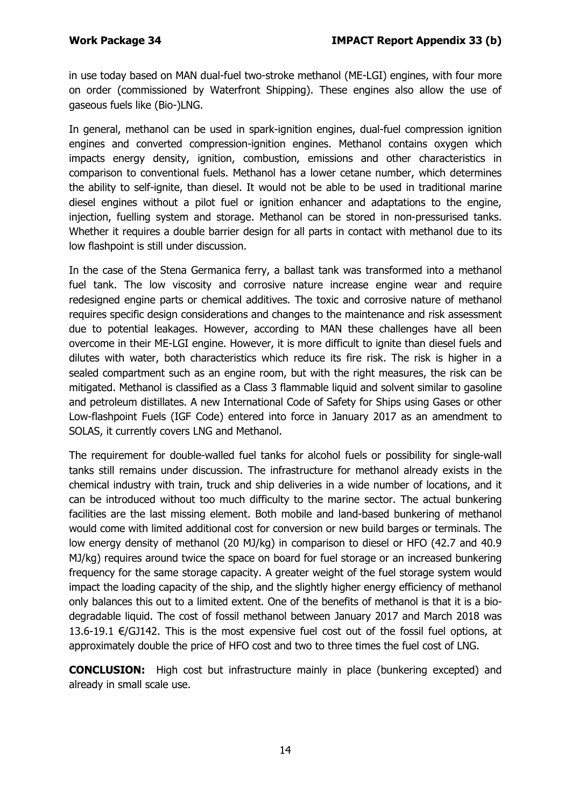in use today based on MAN dual-fuel two-stroke methanol (ME-LGI) engines, with four more on order (commissioned by Waterfront Shipping). These engines also allow the use of gaseous fuels like (Bio-)LNG.

In general, methanol can be used in spark-ignition engines, dual-fuel compression ignition engines and converted compression-ignition engines. Methanol contains oxygen which impacts energy density, ignition, combustion, emissions and other characteristics in comparison to conventional fuels. Methanol has a lower cetane number, which determines the ability to self-ignite, than diesel. It would not be able to be used in traditional marine diesel engines without a pilot fuel or ignition enhancer and adaptations to the engine, injection, fuelling system and storage. Methanol can be stored in non-pressurised tanks. Whether it requires a double barrier design for all parts in contact with methanol due to its low flashpoint is still under discussion.

In the case of the Stena Germanica ferry, a ballast tank was transformed into a methanol fuel tank. The low viscosity and corrosive nature increase engine wear and require redesigned engine parts or chemical additives. The toxic and corrosive nature of methanol requires specific design considerations and changes to the maintenance and risk assessment due to potential leakages. However, according to MAN these challenges have all been overcome in their ME-LGI engine. However, it is more difficult to ignite than diesel fuels and dilutes with water, both characteristics which reduce its fire risk. The risk is higher in a sealed compartment such as an engine room, but with the right measures, the risk can be mitigated. Methanol is classified as a Class 3 flammable liquid and solvent similar to gasoline and petroleum distillates. A new International Code of Safety for Ships using Gases or other Low-flashpoint Fuels (IGF Code) entered into force in January 2017 as an amendment to SOLAS, it currently covers LNG and Methanol.

The requirement for double-walled fuel tanks for alcohol fuels or possibility for single-wall tanks still remains under discussion. The infrastructure for methanol already exists in the chemical industry with train, truck and ship deliveries in a wide number of locations, and it can be introduced without too much difficulty to the marine sector. The actual bunkering facilities are the last missing element. Both mobile and land-based bunkering of methanol would come with limited additional cost for conversion or new build barges or terminals. The low energy density of methanol (20 MJ/kg) in comparison to diesel or HFO (42.7 and 40.9 MJ/kg) requires around twice the space on board for fuel storage or an increased bunkering frequency for the same storage capacity. A greater weight of the fuel storage system would impact the loading capacity of the ship, and the slightly higher energy efficiency of methanol only balances this out to a limited extent. One of the benefits of methanol is that it is a biodegradable liquid. The cost of fossil methanol between January 2017 and March 2018 was 13.6-19.1 €/GJ142. This is the most expensive fuel cost out of the fossil fuel options, at approximately double the price of HFO cost and two to three times the fuel cost of LNG.

**CONCLUSION:** High cost but infrastructure mainly in place (bunkering excepted) and already in small scale use.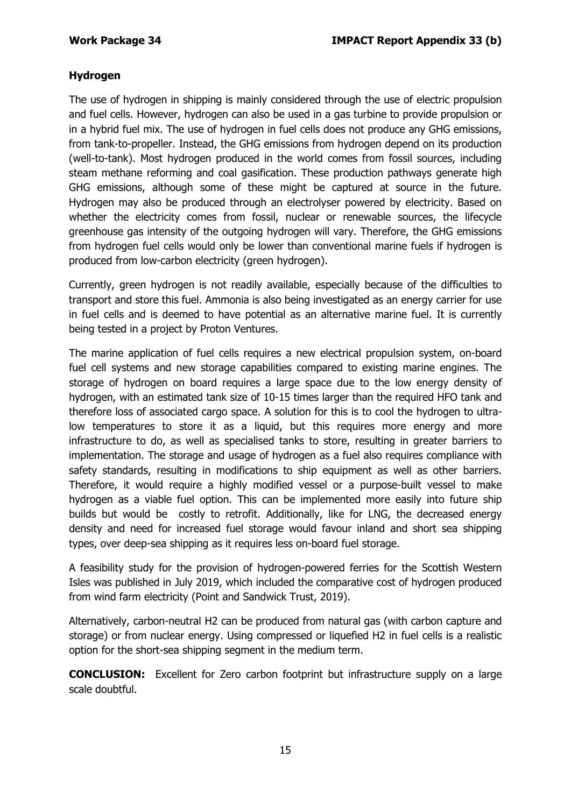## **Hydrogen**

The use of hydrogen in shipping is mainly considered through the use of electric propulsion and fuel cells. However, hydrogen can also be used in a gas turbine to provide propulsion or in a hybrid fuel mix. The use of hydrogen in fuel cells does not produce any GHG emissions, from tank-to-propeller. Instead, the GHG emissions from hydrogen depend on its production (well-to-tank). Most hydrogen produced in the world comes from fossil sources, including steam methane reforming and coal gasification. These production pathways generate high GHG emissions, although some of these might be captured at source in the future. Hydrogen may also be produced through an electrolyser powered by electricity. Based on whether the electricity comes from fossil, nuclear or renewable sources, the lifecycle greenhouse gas intensity of the outgoing hydrogen will vary. Therefore, the GHG emissions from hydrogen fuel cells would only be lower than conventional marine fuels if hydrogen is produced from low-carbon electricity (green hydrogen).

Currently, green hydrogen is not readily available, especially because of the difficulties to transport and store this fuel. Ammonia is also being investigated as an energy carrier for use in fuel cells and is deemed to have potential as an alternative marine fuel. It is currently being tested in a project by Proton Ventures.

The marine application of fuel cells requires a new electrical propulsion system, on-board fuel cell systems and new storage capabilities compared to existing marine engines. The storage of hydrogen on board requires a large space due to the low energy density of hydrogen, with an estimated tank size of 10-15 times larger than the required HFO tank and therefore loss of associated cargo space. A solution for this is to cool the hydrogen to ultralow temperatures to store it as a liquid, but this requires more energy and more infrastructure to do, as well as specialised tanks to store, resulting in greater barriers to implementation. The storage and usage of hydrogen as a fuel also requires compliance with safety standards, resulting in modifications to ship equipment as well as other barriers. Therefore, it would require a highly modified vessel or a purpose-built vessel to make hydrogen as a viable fuel option. This can be implemented more easily into future ship builds but would be costly to retrofit. Additionally, like for LNG, the decreased energy density and need for increased fuel storage would favour inland and short sea shipping types, over deep-sea shipping as it requires less on-board fuel storage.

A feasibility study for the provision of hydrogen-powered ferries for the Scottish Western Isles was published in July 2019, which included the comparative cost of hydrogen produced from wind farm electricity (Point and Sandwick Trust, 2019).

Alternatively, carbon-neutral H2 can be produced from natural gas (with carbon capture and storage) or from nuclear energy. Using compressed or liquefied H2 in fuel cells is a realistic option for the short-sea shipping segment in the medium term.

**CONCLUSION:** Excellent for Zero carbon footprint but infrastructure supply on a large scale doubtful.